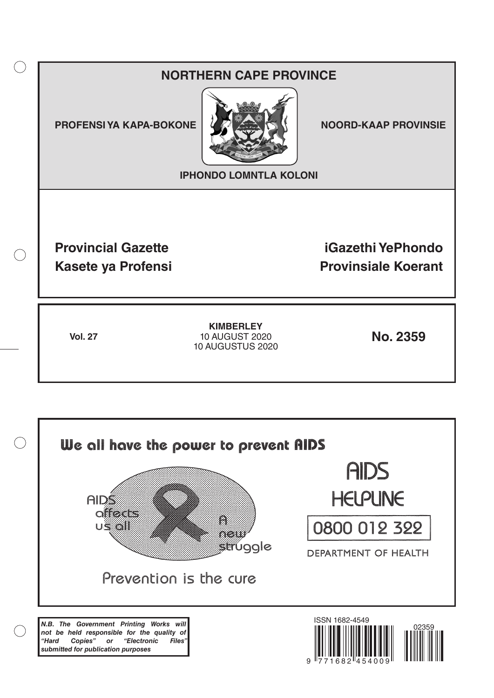## **NORTHERN CAPE PROVINCE**

**PROFENSI YA KAPA-BOKONE NOORD-KAAP PROVINSIE** 

 $($ )



**IPHONDO LOMNTLA KOLONI**

**Provincial Gazette iGazethi YePhondo Kasete ya Profensi Provinsiale Koerant** 

**Vol. 27 No. 2359** 10 AUGUST 2020 **KIMBERLEY** 10 AUGUSTUS 2020

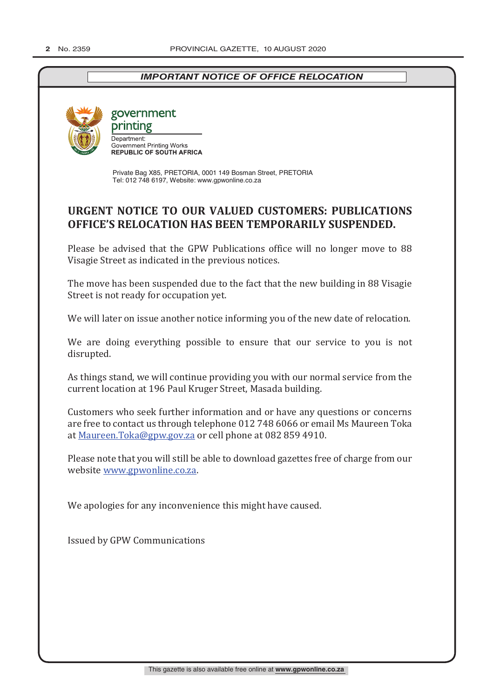### *IMPORTANT NOTICE OF OFFICE RELOCATION*



government printing

Department: **Government Printing Works<br>REPUBLIC OF SOUTH AFRICA** 

Private Bag X85, PRETORIA, 0001 149 Bosman Street, PRETORIA Tel: 012 748 6197, Website: www.gpwonline.co.za

## **URGENT NOTICE TO OUR VALUED CUSTOMERS: PUBLICATIONS OFFICE'S RELOCATION HAS BEEN TEMPORARILY SUSPENDED.**

Please be advised that the GPW Publications office will no longer move to 88 Visagie Street as indicated in the previous notices.

The move has been suspended due to the fact that the new building in 88 Visagie Street is not ready for occupation yet.

We will later on issue another notice informing you of the new date of relocation.

We are doing everything possible to ensure that our service to you is not disrupted.

As things stand, we will continue providing you with our normal service from the current location at 196 Paul Kruger Street, Masada building.

Customers who seek further information and or have any questions or concerns are free to contact us through telephone 012 748 6066 or email Ms Maureen Toka at Maureen.Toka@gpw.gov.za or cell phone at 082 859 4910.

Please note that you will still be able to download gazettes free of charge from our website www.gpwonline.co.za.

We apologies for any inconvenience this might have caused.

Issued by GPW Communications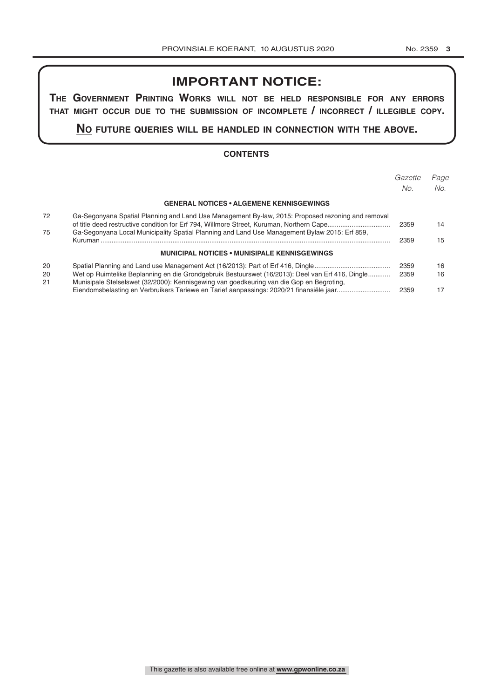## **IMPORTANT NOTICE:**

**The GovernmenT PrinTinG Works Will noT be held resPonsible for any errors ThaT miGhT occur due To The submission of incomPleTe / incorrecT / illeGible coPy.**

**no fuTure queries Will be handled in connecTion WiTh The above.**

#### **CONTENTS**

|                |                                                                                                                                                                                              | Gazette      | Page     |
|----------------|----------------------------------------------------------------------------------------------------------------------------------------------------------------------------------------------|--------------|----------|
|                |                                                                                                                                                                                              | No.          | No.      |
|                | <b>GENERAL NOTICES • ALGEMENE KENNISGEWINGS</b>                                                                                                                                              |              |          |
| 72             | Ga-Segonyana Spatial Planning and Land Use Management By-law, 2015: Proposed rezoning and removal                                                                                            | 2359         | 14       |
| 75             | Ga-Segonyana Local Municipality Spatial Planning and Land Use Management Bylaw 2015: Erf 859,                                                                                                | 2359         | 15       |
|                | <b>MUNICIPAL NOTICES • MUNISIPALE KENNISGEWINGS</b>                                                                                                                                          |              |          |
| 20<br>20<br>21 | Wet op Ruimtelike Beplanning en die Grondgebruik Bestuurswet (16/2013): Deel van Erf 416, Dingle<br>Munisipale Stelselswet (32/2000): Kennisgewing van goedkeuring van die Gop en Begroting. | 2359<br>2359 | 16<br>16 |
|                |                                                                                                                                                                                              | 2359         | 17       |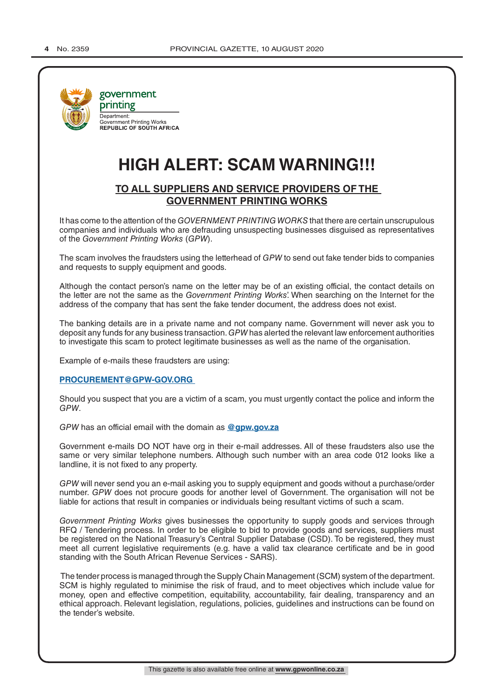

# **HIGH ALERT: SCAM WARNING!!!**

### **TO ALL SUPPLIERS AND SERVICE PROVIDERS OF THE GOVERNMENT PRINTING WORKS**

It has come to the attention of the *GOVERNMENT PRINTING WORKS* that there are certain unscrupulous companies and individuals who are defrauding unsuspecting businesses disguised as representatives of the *Government Printing Works* (*GPW*).

The scam involves the fraudsters using the letterhead of *GPW* to send out fake tender bids to companies and requests to supply equipment and goods.

Although the contact person's name on the letter may be of an existing official, the contact details on the letter are not the same as the *Government Printing Works*'. When searching on the Internet for the address of the company that has sent the fake tender document, the address does not exist.

The banking details are in a private name and not company name. Government will never ask you to deposit any funds for any business transaction. *GPW* has alerted the relevant law enforcement authorities to investigate this scam to protect legitimate businesses as well as the name of the organisation.

Example of e-mails these fraudsters are using:

#### **PROCUREMENT@GPW-GOV.ORG**

Should you suspect that you are a victim of a scam, you must urgently contact the police and inform the *GPW*.

*GPW* has an official email with the domain as **@gpw.gov.za**

Government e-mails DO NOT have org in their e-mail addresses. All of these fraudsters also use the same or very similar telephone numbers. Although such number with an area code 012 looks like a landline, it is not fixed to any property.

*GPW* will never send you an e-mail asking you to supply equipment and goods without a purchase/order number. *GPW* does not procure goods for another level of Government. The organisation will not be liable for actions that result in companies or individuals being resultant victims of such a scam.

*Government Printing Works* gives businesses the opportunity to supply goods and services through RFQ / Tendering process. In order to be eligible to bid to provide goods and services, suppliers must be registered on the National Treasury's Central Supplier Database (CSD). To be registered, they must meet all current legislative requirements (e.g. have a valid tax clearance certificate and be in good standing with the South African Revenue Services - SARS).

 The tender process is managed through the Supply Chain Management (SCM) system of the department. SCM is highly regulated to minimise the risk of fraud, and to meet objectives which include value for money, open and effective competition, equitability, accountability, fair dealing, transparency and an ethical approach. Relevant legislation, regulations, policies, guidelines and instructions can be found on the tender's website.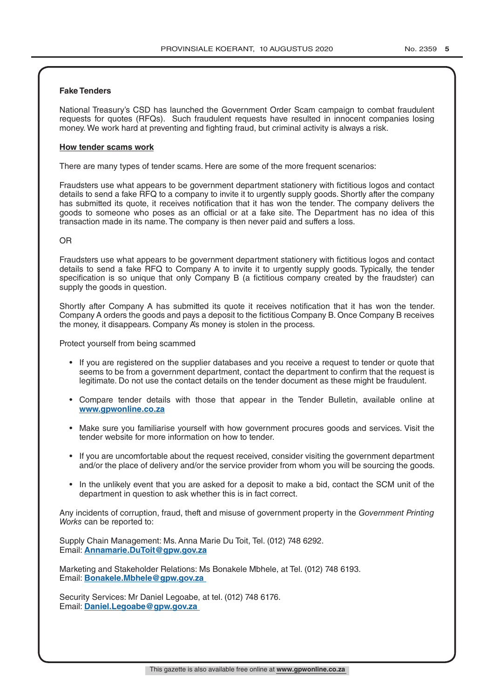#### **Fake Tenders**

National Treasury's CSD has launched the Government Order Scam campaign to combat fraudulent requests for quotes (RFQs). Such fraudulent requests have resulted in innocent companies losing money. We work hard at preventing and fighting fraud, but criminal activity is always a risk.

#### **How tender scams work**

There are many types of tender scams. Here are some of the more frequent scenarios:

Fraudsters use what appears to be government department stationery with fictitious logos and contact details to send a fake RFQ to a company to invite it to urgently supply goods. Shortly after the company has submitted its quote, it receives notification that it has won the tender. The company delivers the goods to someone who poses as an official or at a fake site. The Department has no idea of this transaction made in its name. The company is then never paid and suffers a loss.

#### OR

Fraudsters use what appears to be government department stationery with fictitious logos and contact details to send a fake RFQ to Company A to invite it to urgently supply goods. Typically, the tender specification is so unique that only Company B (a fictitious company created by the fraudster) can supply the goods in question.

Shortly after Company A has submitted its quote it receives notification that it has won the tender. Company A orders the goods and pays a deposit to the fictitious Company B. Once Company B receives the money, it disappears. Company A's money is stolen in the process.

Protect yourself from being scammed

- If you are registered on the supplier databases and you receive a request to tender or quote that seems to be from a government department, contact the department to confirm that the request is legitimate. Do not use the contact details on the tender document as these might be fraudulent.
- Compare tender details with those that appear in the Tender Bulletin, available online at **www.gpwonline.co.za**
- Make sure you familiarise yourself with how government procures goods and services. Visit the tender website for more information on how to tender.
- If you are uncomfortable about the request received, consider visiting the government department and/or the place of delivery and/or the service provider from whom you will be sourcing the goods.
- In the unlikely event that you are asked for a deposit to make a bid, contact the SCM unit of the department in question to ask whether this is in fact correct.

Any incidents of corruption, fraud, theft and misuse of government property in the *Government Printing Works* can be reported to:

Supply Chain Management: Ms. Anna Marie Du Toit, Tel. (012) 748 6292. Email: **Annamarie.DuToit@gpw.gov.za**

Marketing and Stakeholder Relations: Ms Bonakele Mbhele, at Tel. (012) 748 6193. Email: **Bonakele.Mbhele@gpw.gov.za** 

Security Services: Mr Daniel Legoabe, at tel. (012) 748 6176. Email: **Daniel.Legoabe@gpw.gov.za**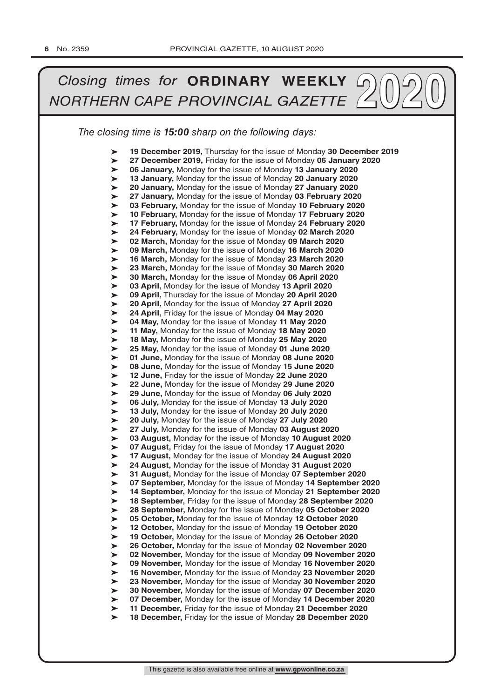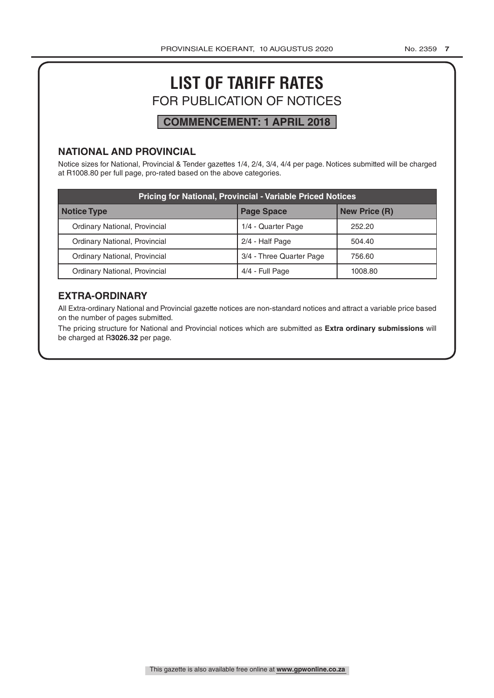# **LIST OF TARIFF RATES** FOR PUBLICATION OF NOTICES

### **COMMENCEMENT: 1 APRIL 2018**

### **NATIONAL AND PROVINCIAL**

Notice sizes for National, Provincial & Tender gazettes 1/4, 2/4, 3/4, 4/4 per page. Notices submitted will be charged at R1008.80 per full page, pro-rated based on the above categories.

| <b>Pricing for National, Provincial - Variable Priced Notices</b> |                          |                      |  |
|-------------------------------------------------------------------|--------------------------|----------------------|--|
| Notice Type                                                       | <b>Page Space</b>        | <b>New Price (R)</b> |  |
| Ordinary National, Provincial                                     | 1/4 - Quarter Page       | 252.20               |  |
| Ordinary National, Provincial                                     | 2/4 - Half Page          | 504.40               |  |
| Ordinary National, Provincial                                     | 3/4 - Three Quarter Page | 756.60               |  |
| Ordinary National, Provincial                                     | 4/4 - Full Page          | 1008.80              |  |

### **EXTRA-ORDINARY**

All Extra-ordinary National and Provincial gazette notices are non-standard notices and attract a variable price based on the number of pages submitted.

The pricing structure for National and Provincial notices which are submitted as **Extra ordinary submissions** will be charged at R**3026.32** per page.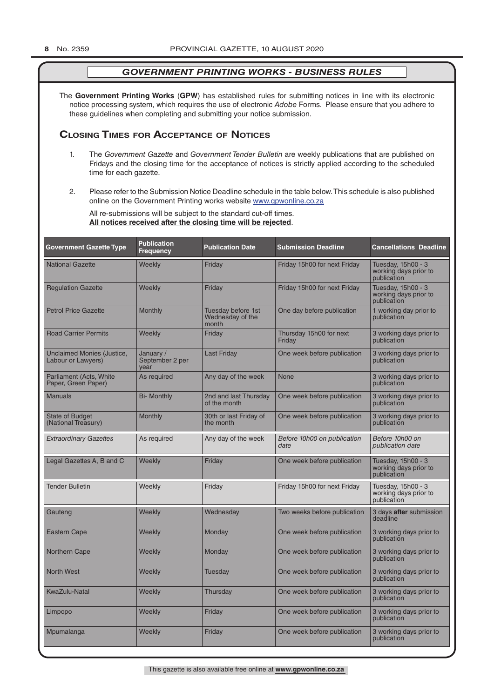The **Government Printing Works** (**GPW**) has established rules for submitting notices in line with its electronic notice processing system, which requires the use of electronic *Adobe* Forms. Please ensure that you adhere to these guidelines when completing and submitting your notice submission.

#### **Closing Times for ACCepTAnCe of noTiCes**

- 1. The *Government Gazette* and *Government Tender Bulletin* are weekly publications that are published on Fridays and the closing time for the acceptance of notices is strictly applied according to the scheduled time for each gazette.
- 2. Please refer to the Submission Notice Deadline schedule in the table below. This schedule is also published online on the Government Printing works website www.gpwonline.co.za

All re-submissions will be subject to the standard cut-off times. **All notices received after the closing time will be rejected**.

| <b>Government Gazette Type</b>                   | <b>Publication</b><br><b>Frequency</b> | <b>Publication Date</b>                         | <b>Submission Deadline</b>          | <b>Cancellations Deadline</b>                              |
|--------------------------------------------------|----------------------------------------|-------------------------------------------------|-------------------------------------|------------------------------------------------------------|
| <b>National Gazette</b>                          | Weekly                                 | Friday                                          | Friday 15h00 for next Friday        | Tuesday, 15h00 - 3<br>working days prior to<br>publication |
| <b>Regulation Gazette</b>                        | Weekly                                 | Friday                                          | Friday 15h00 for next Friday        | Tuesday, 15h00 - 3<br>working days prior to<br>publication |
| <b>Petrol Price Gazette</b>                      | Monthly                                | Tuesday before 1st<br>Wednesday of the<br>month | One day before publication          | 1 working day prior to<br>publication                      |
| <b>Road Carrier Permits</b>                      | Weekly                                 | Friday                                          | Thursday 15h00 for next<br>Friday   | 3 working days prior to<br>publication                     |
| Unclaimed Monies (Justice,<br>Labour or Lawyers) | January /<br>September 2 per<br>year   | <b>Last Friday</b>                              | One week before publication         | 3 working days prior to<br>publication                     |
| Parliament (Acts, White<br>Paper, Green Paper)   | As required                            | Any day of the week                             | None                                | 3 working days prior to<br>publication                     |
| <b>Manuals</b>                                   | <b>Bi- Monthly</b>                     | 2nd and last Thursday<br>of the month           | One week before publication         | 3 working days prior to<br>publication                     |
| <b>State of Budget</b><br>(National Treasury)    | Monthly                                | 30th or last Friday of<br>the month             | One week before publication         | 3 working days prior to<br>publication                     |
| <b>Extraordinary Gazettes</b>                    | As required                            | Any day of the week                             | Before 10h00 on publication<br>date | Before 10h00 on<br>publication date                        |
| Legal Gazettes A, B and C                        | Weekly                                 | Friday                                          | One week before publication         | Tuesday, 15h00 - 3<br>working days prior to<br>publication |
| <b>Tender Bulletin</b>                           | Weekly                                 | Friday                                          | Friday 15h00 for next Friday        | Tuesday, 15h00 - 3<br>working days prior to<br>publication |
| Gauteng                                          | Weekly                                 | Wednesday                                       | Two weeks before publication        | 3 days after submission<br>deadline                        |
| <b>Eastern Cape</b>                              | Weekly                                 | Monday                                          | One week before publication         | 3 working days prior to<br>publication                     |
| Northern Cape                                    | Weekly                                 | Monday                                          | One week before publication         | 3 working days prior to<br>publication                     |
| <b>North West</b>                                | Weekly                                 | Tuesday                                         | One week before publication         | 3 working days prior to<br>publication                     |
| KwaZulu-Natal                                    | Weekly                                 | Thursday                                        | One week before publication         | 3 working days prior to<br>publication                     |
| Limpopo                                          | Weekly                                 | Friday                                          | One week before publication         | 3 working days prior to<br>publication                     |
| Mpumalanga                                       | Weekly                                 | Friday                                          | One week before publication         | 3 working days prior to<br>publication                     |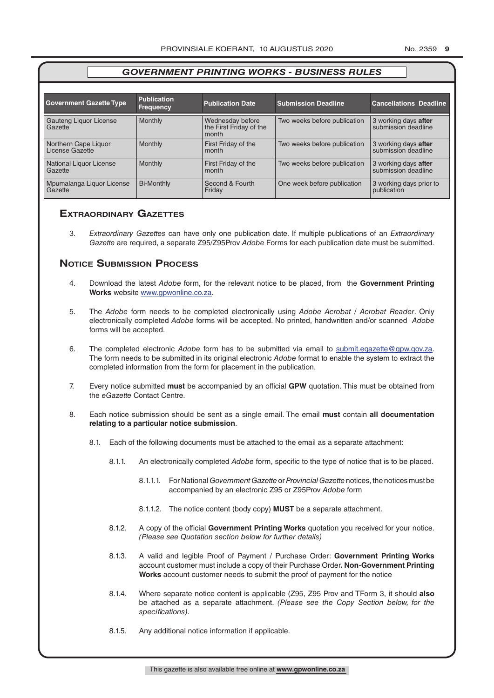| <b>Government Gazette Type</b>          | <b>Publication</b><br><b>Frequency</b> | <b>Publication Date</b>                              | <b>Submission Deadline</b>   | <b>Cancellations Deadline</b>               |
|-----------------------------------------|----------------------------------------|------------------------------------------------------|------------------------------|---------------------------------------------|
| Gauteng Liquor License<br>Gazette       | Monthly                                | Wednesday before<br>the First Friday of the<br>month | Two weeks before publication | 3 working days after<br>submission deadline |
| Northern Cape Liquor<br>License Gazette | Monthly                                | First Friday of the<br>month                         | Two weeks before publication | 3 working days after<br>submission deadline |
| National Liquor License<br>Gazette      | Monthly                                | First Friday of the<br>month                         | Two weeks before publication | 3 working days after<br>submission deadline |
| Mpumalanga Liquor License<br>Gazette    | <b>Bi-Monthly</b>                      | Second & Fourth<br>Friday                            | One week before publication  | 3 working days prior to<br>publication      |

#### **exTrAordinAry gAzeTTes**

3. *Extraordinary Gazettes* can have only one publication date. If multiple publications of an *Extraordinary Gazette* are required, a separate Z95/Z95Prov *Adobe* Forms for each publication date must be submitted.

#### **NOTICE SUBMISSION PROCESS**

- 4. Download the latest *Adobe* form, for the relevant notice to be placed, from the **Government Printing Works** website www.gpwonline.co.za.
- 5. The *Adobe* form needs to be completed electronically using *Adobe Acrobat* / *Acrobat Reader*. Only electronically completed *Adobe* forms will be accepted. No printed, handwritten and/or scanned *Adobe* forms will be accepted.
- 6. The completed electronic *Adobe* form has to be submitted via email to submit.egazette@gpw.gov.za. The form needs to be submitted in its original electronic *Adobe* format to enable the system to extract the completed information from the form for placement in the publication.
- 7. Every notice submitted **must** be accompanied by an official **GPW** quotation. This must be obtained from the *eGazette* Contact Centre.
- 8. Each notice submission should be sent as a single email. The email **must** contain **all documentation relating to a particular notice submission**.
	- 8.1. Each of the following documents must be attached to the email as a separate attachment:
		- 8.1.1. An electronically completed *Adobe* form, specific to the type of notice that is to be placed.
			- 8.1.1.1. For National *Government Gazette* or *Provincial Gazette* notices, the notices must be accompanied by an electronic Z95 or Z95Prov *Adobe* form
			- 8.1.1.2. The notice content (body copy) **MUST** be a separate attachment.
		- 8.1.2. A copy of the official **Government Printing Works** quotation you received for your notice. *(Please see Quotation section below for further details)*
		- 8.1.3. A valid and legible Proof of Payment / Purchase Order: **Government Printing Works** account customer must include a copy of their Purchase Order*.* **Non**-**Government Printing Works** account customer needs to submit the proof of payment for the notice
		- 8.1.4. Where separate notice content is applicable (Z95, Z95 Prov and TForm 3, it should **also** be attached as a separate attachment. *(Please see the Copy Section below, for the specifications)*.
		- 8.1.5. Any additional notice information if applicable.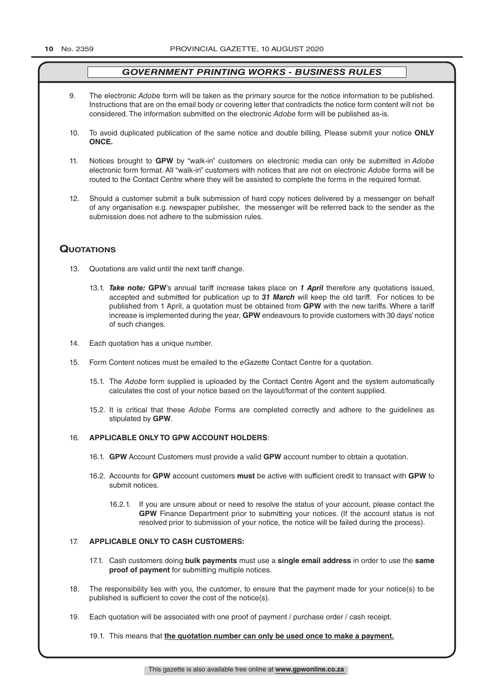- 9. The electronic *Adobe* form will be taken as the primary source for the notice information to be published. Instructions that are on the email body or covering letter that contradicts the notice form content will not be considered. The information submitted on the electronic *Adobe* form will be published as-is.
- 10. To avoid duplicated publication of the same notice and double billing, Please submit your notice **ONLY ONCE.**
- 11. Notices brought to **GPW** by "walk-in" customers on electronic media can only be submitted in *Adobe* electronic form format. All "walk-in" customers with notices that are not on electronic *Adobe* forms will be routed to the Contact Centre where they will be assisted to complete the forms in the required format.
- 12. Should a customer submit a bulk submission of hard copy notices delivered by a messenger on behalf of any organisation e.g. newspaper publisher, the messenger will be referred back to the sender as the submission does not adhere to the submission rules.

### **QuoTATions**

- 13. Quotations are valid until the next tariff change.
	- 13.1. *Take note:* **GPW**'s annual tariff increase takes place on *1 April* therefore any quotations issued, accepted and submitted for publication up to *31 March* will keep the old tariff. For notices to be published from 1 April, a quotation must be obtained from **GPW** with the new tariffs. Where a tariff increase is implemented during the year, **GPW** endeavours to provide customers with 30 days' notice of such changes.
- 14. Each quotation has a unique number.
- 15. Form Content notices must be emailed to the *eGazette* Contact Centre for a quotation.
	- 15.1. The *Adobe* form supplied is uploaded by the Contact Centre Agent and the system automatically calculates the cost of your notice based on the layout/format of the content supplied.
	- 15.2. It is critical that these *Adobe* Forms are completed correctly and adhere to the guidelines as stipulated by **GPW**.

#### 16. **APPLICABLE ONLY TO GPW ACCOUNT HOLDERS**:

- 16.1. **GPW** Account Customers must provide a valid **GPW** account number to obtain a quotation.
- 16.2. Accounts for **GPW** account customers **must** be active with sufficient credit to transact with **GPW** to submit notices.
	- 16.2.1. If you are unsure about or need to resolve the status of your account, please contact the **GPW** Finance Department prior to submitting your notices. (If the account status is not resolved prior to submission of your notice, the notice will be failed during the process).

#### 17. **APPLICABLE ONLY TO CASH CUSTOMERS:**

- 17.1. Cash customers doing **bulk payments** must use a **single email address** in order to use the **same proof of payment** for submitting multiple notices.
- 18. The responsibility lies with you, the customer, to ensure that the payment made for your notice(s) to be published is sufficient to cover the cost of the notice(s).
- 19. Each quotation will be associated with one proof of payment / purchase order / cash receipt.

19.1. This means that **the quotation number can only be used once to make a payment.**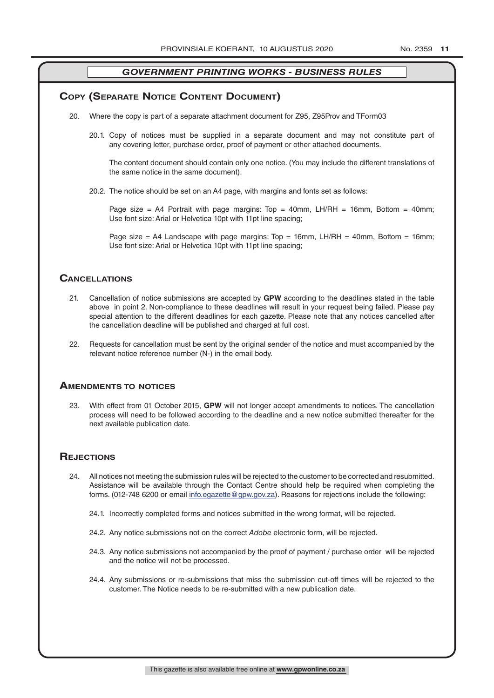#### **COPY (SEPARATE NOTICE CONTENT DOCUMENT)**

- 20. Where the copy is part of a separate attachment document for Z95, Z95Prov and TForm03
	- 20.1. Copy of notices must be supplied in a separate document and may not constitute part of any covering letter, purchase order, proof of payment or other attached documents.

The content document should contain only one notice. (You may include the different translations of the same notice in the same document).

20.2. The notice should be set on an A4 page, with margins and fonts set as follows:

Page size = A4 Portrait with page margins: Top = 40mm, LH/RH = 16mm, Bottom = 40mm; Use font size: Arial or Helvetica 10pt with 11pt line spacing;

Page size = A4 Landscape with page margins: Top = 16mm, LH/RH = 40mm, Bottom = 16mm; Use font size: Arial or Helvetica 10pt with 11pt line spacing;

#### **CAnCellATions**

- 21. Cancellation of notice submissions are accepted by **GPW** according to the deadlines stated in the table above in point 2. Non-compliance to these deadlines will result in your request being failed. Please pay special attention to the different deadlines for each gazette. Please note that any notices cancelled after the cancellation deadline will be published and charged at full cost.
- 22. Requests for cancellation must be sent by the original sender of the notice and must accompanied by the relevant notice reference number (N-) in the email body.

#### **AmendmenTs To noTiCes**

23. With effect from 01 October 2015, **GPW** will not longer accept amendments to notices. The cancellation process will need to be followed according to the deadline and a new notice submitted thereafter for the next available publication date.

#### **REJECTIONS**

- 24. All notices not meeting the submission rules will be rejected to the customer to be corrected and resubmitted. Assistance will be available through the Contact Centre should help be required when completing the forms. (012-748 6200 or email info.egazette@gpw.gov.za). Reasons for rejections include the following:
	- 24.1. Incorrectly completed forms and notices submitted in the wrong format, will be rejected.
	- 24.2. Any notice submissions not on the correct *Adobe* electronic form, will be rejected.
	- 24.3. Any notice submissions not accompanied by the proof of payment / purchase order will be rejected and the notice will not be processed.
	- 24.4. Any submissions or re-submissions that miss the submission cut-off times will be rejected to the customer. The Notice needs to be re-submitted with a new publication date.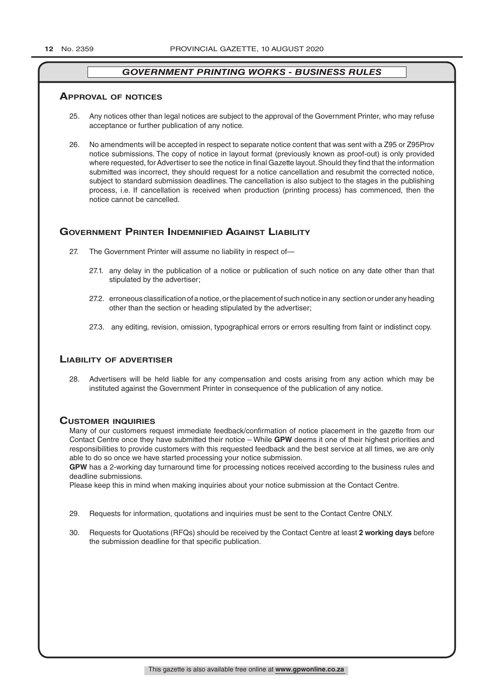#### **ApprovAl of noTiCes**

- 25. Any notices other than legal notices are subject to the approval of the Government Printer, who may refuse acceptance or further publication of any notice.
- 26. No amendments will be accepted in respect to separate notice content that was sent with a Z95 or Z95Prov notice submissions. The copy of notice in layout format (previously known as proof-out) is only provided where requested, for Advertiser to see the notice in final Gazette layout. Should they find that the information submitted was incorrect, they should request for a notice cancellation and resubmit the corrected notice, subject to standard submission deadlines. The cancellation is also subject to the stages in the publishing process, i.e. If cancellation is received when production (printing process) has commenced, then the notice cannot be cancelled.

#### **GOVERNMENT PRINTER INDEMNIFIED AGAINST LIABILITY**

- 27. The Government Printer will assume no liability in respect of—
	- 27.1. any delay in the publication of a notice or publication of such notice on any date other than that stipulated by the advertiser;
	- 27.2. erroneous classification of a notice, or the placement of such notice in any section or under any heading other than the section or heading stipulated by the advertiser;
	- 27.3. any editing, revision, omission, typographical errors or errors resulting from faint or indistinct copy.

#### **liAbiliTy of AdverTiser**

28. Advertisers will be held liable for any compensation and costs arising from any action which may be instituted against the Government Printer in consequence of the publication of any notice.

#### **CusTomer inQuiries**

Many of our customers request immediate feedback/confirmation of notice placement in the gazette from our Contact Centre once they have submitted their notice – While **GPW** deems it one of their highest priorities and responsibilities to provide customers with this requested feedback and the best service at all times, we are only able to do so once we have started processing your notice submission.

**GPW** has a 2-working day turnaround time for processing notices received according to the business rules and deadline submissions.

Please keep this in mind when making inquiries about your notice submission at the Contact Centre.

- 29. Requests for information, quotations and inquiries must be sent to the Contact Centre ONLY.
- 30. Requests for Quotations (RFQs) should be received by the Contact Centre at least **2 working days** before the submission deadline for that specific publication.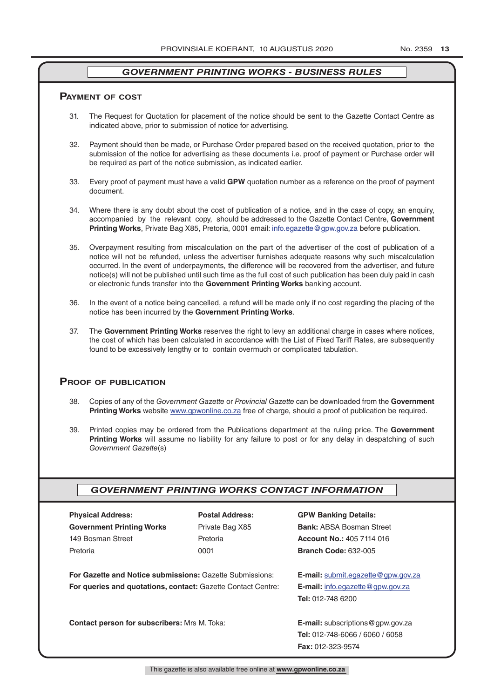#### **pAymenT of CosT**

- 31. The Request for Quotation for placement of the notice should be sent to the Gazette Contact Centre as indicated above, prior to submission of notice for advertising.
- 32. Payment should then be made, or Purchase Order prepared based on the received quotation, prior to the submission of the notice for advertising as these documents i.e. proof of payment or Purchase order will be required as part of the notice submission, as indicated earlier.
- 33. Every proof of payment must have a valid **GPW** quotation number as a reference on the proof of payment document.
- 34. Where there is any doubt about the cost of publication of a notice, and in the case of copy, an enquiry, accompanied by the relevant copy, should be addressed to the Gazette Contact Centre, **Government Printing Works**, Private Bag X85, Pretoria, 0001 email: info.egazette@gpw.gov.za before publication.
- 35. Overpayment resulting from miscalculation on the part of the advertiser of the cost of publication of a notice will not be refunded, unless the advertiser furnishes adequate reasons why such miscalculation occurred. In the event of underpayments, the difference will be recovered from the advertiser, and future notice(s) will not be published until such time as the full cost of such publication has been duly paid in cash or electronic funds transfer into the **Government Printing Works** banking account.
- 36. In the event of a notice being cancelled, a refund will be made only if no cost regarding the placing of the notice has been incurred by the **Government Printing Works**.
- 37. The **Government Printing Works** reserves the right to levy an additional charge in cases where notices, the cost of which has been calculated in accordance with the List of Fixed Tariff Rates, are subsequently found to be excessively lengthy or to contain overmuch or complicated tabulation.

#### **proof of publiCATion**

- 38. Copies of any of the *Government Gazette* or *Provincial Gazette* can be downloaded from the **Government Printing Works** website www.gpwonline.co.za free of charge, should a proof of publication be required.
- 39. Printed copies may be ordered from the Publications department at the ruling price. The **Government Printing Works** will assume no liability for any failure to post or for any delay in despatching of such *Government Gazette*(s)

#### *GOVERNMENT PRINTING WORKS CONTACT INFORMATION*

| <b>Physical Address:</b>                                            | <b>Postal Address:</b>                      | <b>GPW Banking Details:</b>               |
|---------------------------------------------------------------------|---------------------------------------------|-------------------------------------------|
| <b>Government Printing Works</b>                                    | Private Bag X85                             | <b>Bank: ABSA Bosman Street</b>           |
| 149 Bosman Street                                                   | Pretoria                                    | <b>Account No.: 405 7114 016</b>          |
| Pretoria                                                            | 0001                                        | <b>Branch Code: 632-005</b>               |
| For Gazette and Notice submissions: Gazette Submissions:            |                                             | <b>E-mail:</b> submit.eqazette@gpw.gov.za |
| <b>For queries and quotations, contact: Gazette Contact Centre:</b> |                                             | <b>E-mail:</b> info.egazette@gpw.gov.za   |
|                                                                     |                                             | <b>Tel: 012-748 6200</b>                  |
| Contact person for subscribers: Mrs M. Toka:                        | <b>E-mail:</b> subscriptions $@$ gpw.gov.za |                                           |
|                                                                     |                                             | <b>Tel:</b> 012-748-6066 / 6060 / 6058    |
|                                                                     |                                             | <b>Fax: 012-323-9574</b>                  |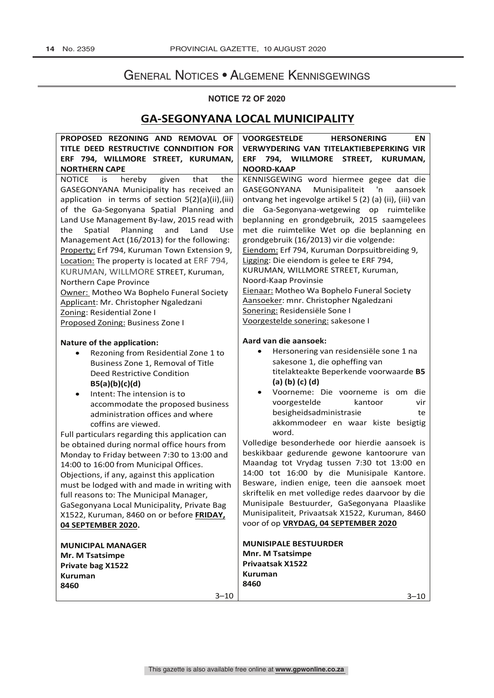# General Notices • Algemene Kennisgewings

#### **NOTICE 72 OF 2020**

## **GA-SEGONYANA LOCAL MUNICIPALITY**

| PROPOSED REZONING AND REMOVAL OF                      | <b>VOORGESTELDE</b><br><b>HERSONERING</b><br>EN         |  |  |
|-------------------------------------------------------|---------------------------------------------------------|--|--|
| TITLE DEED RESTRUCTIVE CONNDITION FOR                 | <b>VERWYDERING VAN TITELAKTIEBEPERKING VIR</b>          |  |  |
| ERF 794, WILLMORE STREET, KURUMAN,                    | ERF 794, WILLMORE STREET, KURUMAN,                      |  |  |
| <b>NORTHERN CAPE</b>                                  | <b>NOORD-KAAP</b>                                       |  |  |
| <b>NOTICE</b><br>hereby<br>given<br>that<br>the<br>is | KENNISGEWING word hiermee gegee dat die                 |  |  |
| GASEGONYANA Municipality has received an              | GASEGONYANA Munisipaliteit 'n<br>aansoek                |  |  |
| application in terms of section 5(2)(a)(ii),(iii)     | ontvang het ingevolge artikel 5 (2) (a) (ii), (iii) van |  |  |
| of the Ga-Segonyana Spatial Planning and              | die Ga-Segonyana-wetgewing op ruimtelike                |  |  |
| Land Use Management By-law, 2015 read with            | beplanning en grondgebruik, 2015 saamgelees             |  |  |
| Planning<br>the<br>Spatial<br>and<br>Land<br>Use      | met die ruimtelike Wet op die beplanning en             |  |  |
| Management Act (16/2013) for the following:           | grondgebruik (16/2013) vir die volgende:                |  |  |
| Property: Erf 794, Kuruman Town Extension 9,          | Eiendom: Erf 794, Kuruman Dorpsuitbreiding 9,           |  |  |
| Location: The property is located at ERF 794,         | Ligging: Die eiendom is gelee te ERF 794,               |  |  |
| KURUMAN, WILLMORE STREET, Kuruman,                    | KURUMAN, WILLMORE STREET, Kuruman,                      |  |  |
| Northern Cape Province                                | Noord-Kaap Provinsie                                    |  |  |
| Owner: Motheo Wa Bophelo Funeral Society              | Eienaar: Motheo Wa Bophelo Funeral Society              |  |  |
| Applicant: Mr. Christopher Ngaledzani                 | Aansoeker: mnr. Christopher Ngaledzani                  |  |  |
| Zoning: Residential Zone I                            | Sonering: Residensiële Sone I                           |  |  |
| Proposed Zoning: Business Zone I                      | Voorgestelde sonering: sakesone I                       |  |  |
|                                                       |                                                         |  |  |
| Nature of the application:                            | Aard van die aansoek:                                   |  |  |
| Rezoning from Residential Zone 1 to                   | Hersonering van residensiële sone 1 na<br>$\bullet$     |  |  |
| Business Zone 1, Removal of Title                     | sakesone 1, die opheffing van                           |  |  |
| <b>Deed Restrictive Condition</b>                     | titelakteakte Beperkende voorwaarde B5                  |  |  |
| B5(a)(b)(c)(d)                                        | $(a)$ (b) (c) (d)                                       |  |  |
| Intent: The intension is to                           | Voorneme: Die voorneme is om<br>die                     |  |  |
| accommodate the proposed business                     | voorgestelde<br>kantoor<br>vir                          |  |  |
| administration offices and where                      | besigheidsadministrasie<br>te                           |  |  |
| coffins are viewed.                                   | akkommodeer en waar kiste besigtig                      |  |  |
| Full particulars regarding this application can       | word.                                                   |  |  |
| be obtained during normal office hours from           | Volledige besonderhede oor hierdie aansoek is           |  |  |
| Monday to Friday between 7:30 to 13:00 and            | beskikbaar gedurende gewone kantoorure van              |  |  |
| 14:00 to 16:00 from Municipal Offices.                | Maandag tot Vrydag tussen 7:30 tot 13:00 en             |  |  |
| Objections, if any, against this application          | 14:00 tot 16:00 by die Munisipale Kantore.              |  |  |
| must be lodged with and made in writing with          | Besware, indien enige, teen die aansoek moet            |  |  |
| full reasons to: The Municipal Manager,               | skriftelik en met volledige redes daarvoor by die       |  |  |
| GaSegonyana Local Municipality, Private Bag           | Munisipale Bestuurder, GaSegonyana Plaaslike            |  |  |
| X1522, Kuruman, 8460 on or before FRIDAY,             | Munisipaliteit, Privaatsak X1522, Kuruman, 8460         |  |  |
| 04 SEPTEMBER 2020.                                    | voor of op VRYDAG, 04 SEPTEMBER 2020                    |  |  |
|                                                       |                                                         |  |  |
| <b>MUNICIPAL MANAGER</b>                              | <b>MUNISIPALE BESTUURDER</b>                            |  |  |
| Mr. M Tsatsimpe                                       | <b>Mnr. M Tsatsimpe</b>                                 |  |  |
| Private bag X1522                                     | Privaatsak X1522                                        |  |  |
| <b>Kuruman</b>                                        | <b>Kuruman</b>                                          |  |  |
| 8460                                                  | 8460                                                    |  |  |
| $3 - 10$                                              | $3 - 10$                                                |  |  |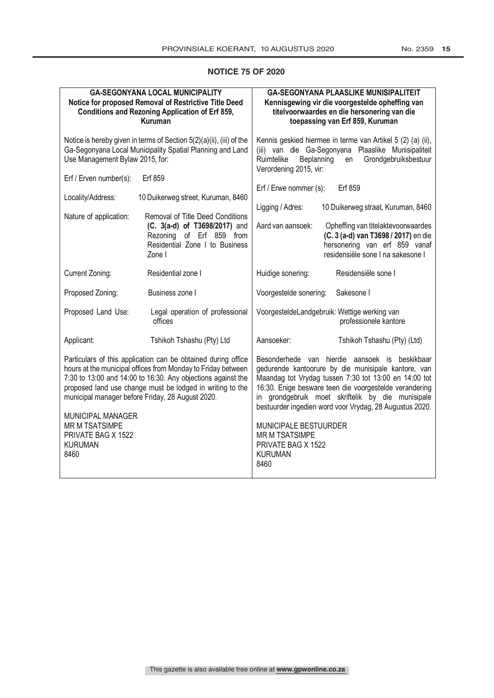#### **NOTICE 75 OF 2020**

|                                                                                                                                                                      | <b>GA-SEGONYANA LOCAL MUNICIPALITY</b><br>Notice for proposed Removal of Restrictive Title Deed<br><b>Conditions and Rezoning Application of Erf 859,</b><br><b>Kuruman</b>                                                                                                                                    | <b>GA-SEGONYANA PLAASLIKE MUNISIPALITEIT</b><br>Kennisgewing vir die voorgestelde opheffing van<br>titelvoorwaardes en die hersonering van die<br>toepassing van Erf 859, Kuruman                                                                                                                                                        |  |
|----------------------------------------------------------------------------------------------------------------------------------------------------------------------|----------------------------------------------------------------------------------------------------------------------------------------------------------------------------------------------------------------------------------------------------------------------------------------------------------------|------------------------------------------------------------------------------------------------------------------------------------------------------------------------------------------------------------------------------------------------------------------------------------------------------------------------------------------|--|
| Notice is hereby given in terms of Section 5(2)(a)(ii), (iii) of the<br>Ga-Segonyana Local Municipality Spatial Planning and Land<br>Use Management Bylaw 2015, for: |                                                                                                                                                                                                                                                                                                                | Kennis geskied hiermee in terme van Artikel 5 (2) (a) (ii),<br>(iii) van die Ga-Segonyana Plaaslike Munisipaliteit<br>Grondgebruiksbestuur<br>Ruimtelike<br>Beplanning<br>en<br>Verordening 2015, vir:                                                                                                                                   |  |
| Erf / Erven number(s):                                                                                                                                               | Erf 859                                                                                                                                                                                                                                                                                                        | Erf 859<br>Erf / Erwe nommer (s):                                                                                                                                                                                                                                                                                                        |  |
| Locality/Address:                                                                                                                                                    | 10 Duikerweg street, Kuruman, 8460                                                                                                                                                                                                                                                                             |                                                                                                                                                                                                                                                                                                                                          |  |
| Nature of application:                                                                                                                                               | Removal of Title Deed Conditions                                                                                                                                                                                                                                                                               | Ligging / Adres:<br>10 Duikerweg straat, Kuruman, 8460                                                                                                                                                                                                                                                                                   |  |
|                                                                                                                                                                      | (C. 3(a-d) of T3698/2017) and<br>Rezoning of Erf 859 from<br>Residential Zone I to Business<br>Zone I                                                                                                                                                                                                          | Aard van aansoek:<br>Opheffing van titelaktevoorwaardes<br>(C. 3 (a-d) van T3698 / 2017) en die<br>hersonering van erf 859 vanaf<br>residensiële sone I na sakesone I                                                                                                                                                                    |  |
| Current Zoning:                                                                                                                                                      | Residential zone I                                                                                                                                                                                                                                                                                             | Huidige sonering:<br>Residensiële sone I                                                                                                                                                                                                                                                                                                 |  |
| Proposed Zoning:                                                                                                                                                     | Business zone I                                                                                                                                                                                                                                                                                                | Voorgestelde sonering:<br>Sakesone I                                                                                                                                                                                                                                                                                                     |  |
| Proposed Land Use:                                                                                                                                                   | Legal operation of professional<br>offices                                                                                                                                                                                                                                                                     | VoorgesteldeLandgebruik: Wettige werking van<br>professionele kantore                                                                                                                                                                                                                                                                    |  |
| Applicant:                                                                                                                                                           | Tshikoh Tshashu (Pty) Ltd                                                                                                                                                                                                                                                                                      | Aansoeker:<br>Tshikoh Tshashu (Pty) (Ltd)                                                                                                                                                                                                                                                                                                |  |
|                                                                                                                                                                      | Particulars of this application can be obtained during office<br>hours at the municipal offices from Monday to Friday between<br>7:30 to 13:00 and 14:00 to 16:30. Any objections against the<br>proposed land use change must be lodged in writing to the<br>municipal manager before Friday, 28 August 2020. | Besonderhede van hierdie aansoek is beskikbaar<br>gedurende kantoorure by die munisipale kantore, van<br>Maandag tot Vrydag tussen 7:30 tot 13:00 en 14:00 tot<br>16:30. Enige besware teen die voorgestelde verandering<br>in grondgebruik moet skriftelik by die munisipale<br>bestuurder ingedien word voor Vrydag, 28 Augustus 2020. |  |
| MUNICIPAL MANAGER<br><b>MR M TSATSIMPE</b><br>PRIVATE BAG X 1522<br><b>KURUMAN</b><br>8460                                                                           |                                                                                                                                                                                                                                                                                                                | MUNICIPALE BESTUURDER<br><b>MR M TSATSIMPE</b><br>PRIVATE BAG X 1522<br><b>KURUMAN</b><br>8460                                                                                                                                                                                                                                           |  |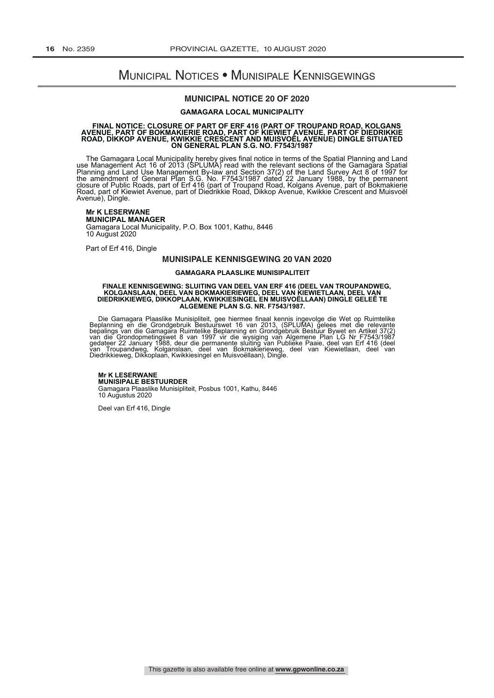### Municipal Notices • Munisipale Kennisgewings

#### **MUNICIPAL NOTICE 20 OF 2020**

### **GAMAGARA LOCAL MUNICIPALITY**

#### FINAL NOTICE: CLOSURE OF PART OF ERF 416 (PART OF TROUPAND ROAD, KOLGANS<br>AVENUE, PART OF BOKMAKIERIE ROAD, PART OF KIEWIET AVENUE, PART OF DIEDRIKKIE<br>ROAD, DIKKOP AVENUE, KWIKKIE CRESCENT AND MUISVOËL AVENUE) DINGLE SITUAT **CON GENERAL PLAN S.G. NO. F7543/1987 GAMAGARA LOCAL MUNICIPALITY** ENUE, PART OF BOKMAKIERIE ROAD, PART OF KIEWIET AVENUE, PART OF DIEDRIKI<br>AD, DIKKOP AVENUE, KWIKKI<u>E CRESCENT AND MUISVOËL AVENUE) DINGLE SITUAT</u>

The Gamagara Local Municipality hereby gives final notice in terms of the Spatial Planning and Land<br>use Management Act 16 of 2013 (SPLUMA) read with the relevant sections of the Gamagara Spatial<br>Planning and Land Use Manag the amendment of General Pl̄an S.G. No. F7543/1987 dated 22 January 1988, by the permanent<br>closure of Public Roads, part of Erf 416 (part of Troupand Road, Kolgans Avenue, part of Bokmakierie<br>Road, par<u>t</u> of Kiewiet Avenue Avenue), Dingle. Avenue), Dingle. Management Act 16 of 2013 (SPLUMA) read with the relevant sections of the Gamagara Spanning and Land Use Management By-law and Section 37(2) of the Land Survey Act 8 of 1997<br>Ining and Land Use Management By-law and Section amendment of General Plan S.G. No. 17545/1967 dated 22 January 1966, by the permant<br>ure of Public Roads, part of Erf 416 (part of Troupand Road, Kolgans Avenue, part of Bokmaki<br>d, part of Klewiet Avenue, part of Diedrikkie

#### **Mr K LESERWANE Mr K LESERWANE**

**MUNICIPAL MANAGER MUNICIPAL MANAGER** Gamagara Local Municipality, P.O. Box 1001, Kathu, 8446 Gamagara Local Municipality, P.O. Box 1001, Kathu, 8446 10 August 2020 10 August 2020

Part of Erf 416, Dingle Part of Erf 416, Dingle

### **MUNISIPALE KENNISGEWING 20 VAN 2020**

#### **GAMAGARA PLAASLIKE MUNISIPALITEIT GAMAGARA PLAASLIKE MUNISIPALITEIT**

#### KOLGANSLAAN, DEEL VAN BOKMAKIERIEWEG, DEEL VAN KIEWIETLAAN, DEEL VAN<br>DIEDRIKKIEWEG, DIKKOPLAAN, KWIKKIESINGEL EN MUISVOËLLAAN) DINGLE GELEË TE **DIEDRIKKIGHTEGER BLANDS. G. NR. F7543/1987. FINALE KENNISGEWING: SLUITING VAN DEEL VAN ERF 416 (DEEL VAN TROUPANDWEG, KOLGANSLAAN, DEEL VAN BOKMAKIERIEWEG, DEEL VAN KIEWIETLAAN, DEEL VAN DIEDRIKKIEWEG, DIKKOPLAAN, KWIKKIESINGEL EN MUISVOËLLAAN) DINGLE GELEË TE ALGEMENE PLAN S.G. NR. F7543/1987.**

**ALGEMENE PLAN S.G. NR. F7543/1987.** Beplaining en die Gamagara Ruimtelike Beplanning en Grond, (SPLUMA) gelees met die terlevantie<br>bepalings van die Gamagara Ruimtelike Beplanning en Grondgebruik Bestuur Bywet en Artikel 37(2)<br>van die Grondopmetingswet 8 van Die Gamagara Plaaslike Munisipliteit, gee hiermee finaal kennis ingevolge die Wet op Ruimtelike Beplanning en die Grondgebruik Bestuurswet 16 van 2013, (SPLUMA) gelees met die relevante bepalings van die Gamagara Ruimtelike Beplanning en Grondgèbruik Bestuur Bywet en Artikel 37(2)<br>van die Grondopmetingswet 8 van 1997 vir die wysiging van Algemene Plan LG Nr F7543/1987<br>gedateer 22 January 1988, deur die pe

#### Gamagara Plaaslike Munisipliteit, Posbus 1001, Kathu, 8446 **MUNISIPALE BESTUURDER**  10 Augustus 2020 **Mr K LESERWANE MUNISIPALE BESTUURDER**

 $\blacksquare$ Deel van Erf 416, Dingle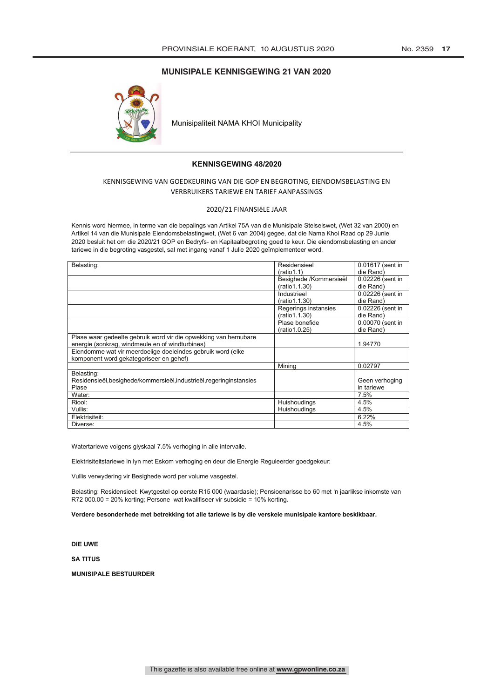#### **MUNISIPALE KENNISGEWING 21 VAN 2020**



Munisipaliteit NAMA KHOI Municipality

#### **KENNISGEWING 48/2020**

#### KENNISGEWING VAN GOEDKEURING VAN DIE GOP EN BEGROTING, EIENDOMSBELASTING EN VERBRUIKERS TARIEWE EN TARIEF AANPASSINGS

#### 2020/21 FINANSIëLE JAAR

Kennis word hiermee, in terme van die bepalings van Artikel 75A van die Munisipale Stelselswet, (Wet 32 van 2000) en Artikel 14 van die Munisipale Eiendomsbelastingwet, (Wet 6 van 2004) gegee, dat die Nama Khoi Raad op 29 Junie 2020 besluit het om die 2020/21 GOP en Bedryfs- en Kapitaalbegroting goed te keur. Die eiendomsbelasting en ander tariewe in die begroting vasgestel, sal met ingang vanaf 1 Julie 2020 geïmplementeer word.

| Belasting:                                                           | Residensieel            | 0.01617 (sent in |
|----------------------------------------------------------------------|-------------------------|------------------|
|                                                                      | (ratio <sub>1.1</sub> ) | die Rand)        |
|                                                                      | Besighede /Kommersieël  | 0.02226 (sent in |
|                                                                      | (ratio1.1.30)           | die Rand)        |
|                                                                      | Industrieel             | 0.02226 (sent in |
|                                                                      | (ratio1.1.30)           | die Rand)        |
|                                                                      | Regerings instansies    | 0.02226 (sent in |
|                                                                      | (ratio1.1.30)           | die Rand)        |
|                                                                      | Plase bonefide          | 0.00070 (sent in |
|                                                                      | (ratio1.0.25)           | die Rand)        |
| Plase waar gedeelte gebruik word vir die opwekking van hernubare     |                         |                  |
| energie (sonkrag, windmeule en of windturbines)                      |                         | 1.94770          |
| Eiendomme wat vir meerdoelige doeleindes gebruik word (elke          |                         |                  |
| komponent word gekategoriseer en gehef)                              |                         |                  |
|                                                                      | Mining                  | 0.02797          |
| Belasting:                                                           |                         |                  |
| Residensieël, besighede/kommersieël, industrieël, regeringinstansies |                         | Geen verhoging   |
| Plase                                                                |                         | in tariewe       |
| Water:                                                               |                         | 7.5%             |
| Riool:                                                               | Huishoudings            | 4.5%             |
| Vullis:                                                              | Huishoudings            | 4.5%             |
| Elektrisiteit:                                                       |                         | 6.22%            |
| Diverse:                                                             |                         | 4.5%             |

Watertariewe volgens glyskaal 7.5% verhoging in alle intervalle.

Elektrisiteitstariewe in lyn met Eskom verhoging en deur die Energie Reguleerder goedgekeur:

Vullis verwydering vir Besighede word per volume vasgestel.

Belasting: Residensieel: Kwytgestel op eerste R15 000 (waardasie); Pensioenarisse bo 60 met 'n jaarlikse inkomste van R72 000.00 = 20% korting; Persone wat kwalifiseer vir subsidie = 10% korting.

**Verdere besonderhede met betrekking tot alle tariewe is by die verskeie munisipale kantore beskikbaar.**

#### **DIE UWE**

#### **SA TITUS**

**MUNISIPALE BESTUURDER**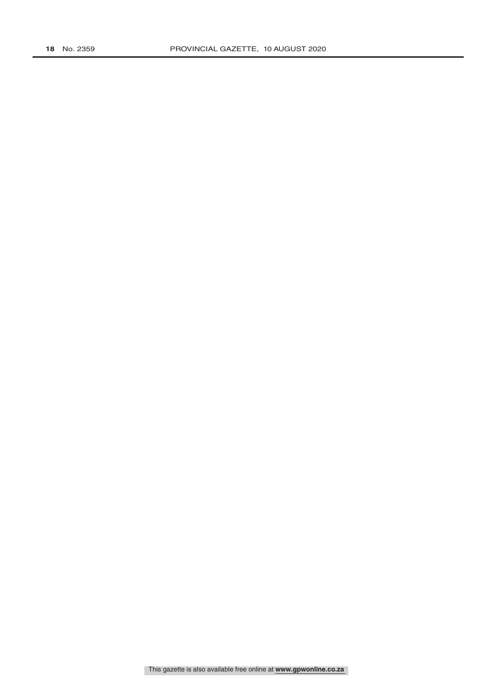This gazette is also available free online at **www.gpwonline.co.za**